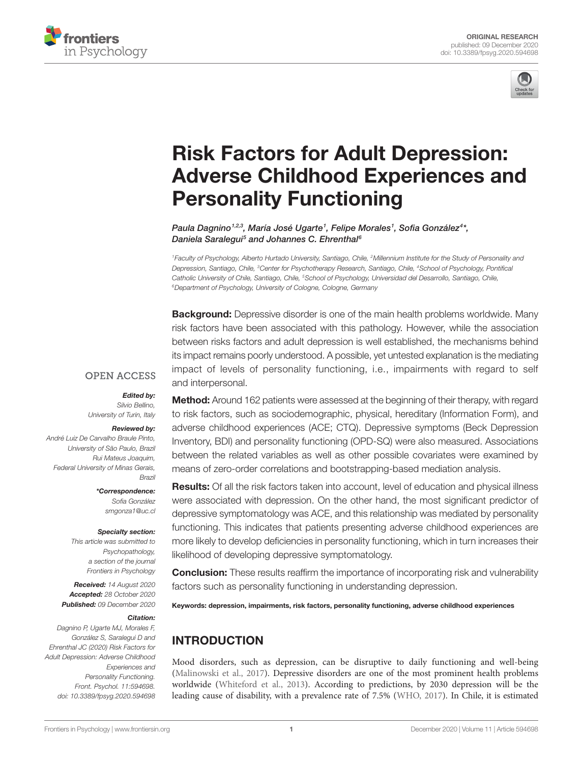



# [Risk Factors for Adult Depression:](https://www.frontiersin.org/articles/10.3389/fpsyg.2020.594698/full)  [Adverse Childhood Experiences and](https://www.frontiersin.org/articles/10.3389/fpsyg.2020.594698/full)  [Personality Functioning](https://www.frontiersin.org/articles/10.3389/fpsyg.2020.594698/full)

Paula Dagnino<sup>1,2,3</sup>, María José Ugarte<sup>1</sup>, Felipe Morales<sup>1</sup>, Sofia González<sup>4\*</sup>, *Daniela Saralegui5 and Johannes C. Ehrenthal6*

*1Faculty of Psychology, Alberto Hurtado University, Santiago, Chile, 2Millennium Institute for the Study of Personality and Depression, Santiago, Chile, 3Center for Psychotherapy Research, Santiago, Chile, 4School of Psychology, Pontifical Catholic University of Chile, Santiago, Chile, 5School of Psychology, Universidad del Desarrollo, Santiago, Chile, 6Department of Psychology, University of Cologne, Cologne, Germany*

**Background:** Depressive disorder is one of the main health problems worldwide. Many risk factors have been associated with this pathology. However, while the association between risks factors and adult depression is well established, the mechanisms behind its impact remains poorly understood. A possible, yet untested explanation is the mediating impact of levels of personality functioning, i.e., impairments with regard to self and interpersonal.

#### **OPEN ACCESS**

#### *Edited by:*

*Silvio Bellino, University of Turin, Italy*

#### *Reviewed by:*

*André Luiz De Carvalho Braule Pinto, University of São Paulo, Brazil Rui Mateus Joaquim, Federal University of Minas Gerais, Brazil*

> *\*Correspondence: Sofia González [smgonza1@uc.cl](mailto:smgonza1@uc.cl)*

#### *Specialty section:*

*This article was submitted to Psychopathology, a section of the journal Frontiers in Psychology*

*Received: 14 August 2020 Accepted: 28 October 2020 Published: 09 December 2020*

#### *Citation:*

*Dagnino P, Ugarte MJ, Morales F, González S, Saralegui D and Ehrenthal JC (2020) Risk Factors for Adult Depression: Adverse Childhood Experiences and Personality Functioning. Front. Psychol. 11:594698. [doi: 10.3389/fpsyg.2020.594698](https://doi.org/10.3389/fpsyg.2020.594698)*

Method: Around 162 patients were assessed at the beginning of their therapy, with regard to risk factors, such as sociodemographic, physical, hereditary (Information Form), and adverse childhood experiences (ACE; CTQ). Depressive symptoms (Beck Depression Inventory, BDI) and personality functioning (OPD-SQ) were also measured. Associations between the related variables as well as other possible covariates were examined by means of zero-order correlations and bootstrapping-based mediation analysis.

Results: Of all the risk factors taken into account, level of education and physical illness were associated with depression. On the other hand, the most significant predictor of depressive symptomatology was ACE, and this relationship was mediated by personality functioning. This indicates that patients presenting adverse childhood experiences are more likely to develop deficiencies in personality functioning, which in turn increases their likelihood of developing depressive symptomatology.

**Conclusion:** These results reaffirm the importance of incorporating risk and vulnerability factors such as personality functioning in understanding depression.

Keywords: depression, impairments, risk factors, personality functioning, adverse childhood experiences

# INTRODUCTION

Mood disorders, such as depression, can be disruptive to daily functioning and well-being [\(Malinowski et al., 2017](#page-8-0)). Depressive disorders are one of the most prominent health problems worldwide [\(Whiteford et al., 2013](#page-9-0)). According to predictions, by 2030 depression will be the leading cause of disability, with a prevalence rate of 7.5% [\(WHO, 2017\)](#page-9-1). In Chile, it is estimated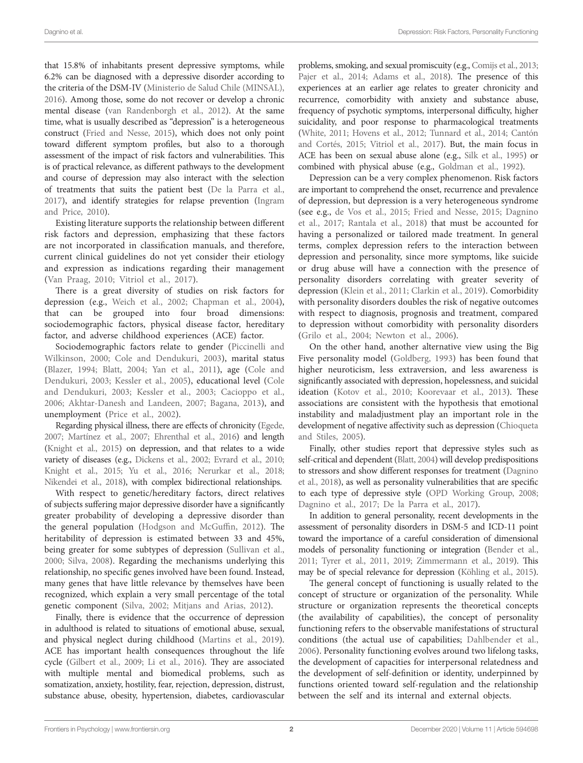that 15.8% of inhabitants present depressive symptoms, while 6.2% can be diagnosed with a depressive disorder according to the criteria of the DSM-IV [\(Ministerio de Salud Chile \(MINSAL\),](#page-8-1)  [2016](#page-8-1)). Among those, some do not recover or develop a chronic mental disease ([van Randenborgh et al., 2012](#page-9-2)). At the same time, what is usually described as "depression" is a heterogeneous construct ([Fried and Nesse, 2015\)](#page-8-2), which does not only point toward different symptom profiles, but also to a thorough assessment of the impact of risk factors and vulnerabilities. This is of practical relevance, as different pathways to the development and course of depression may also interact with the selection of treatments that suits the patient best [\(De la Parra et al.,](#page-7-0)  [2017](#page-7-0)), and identify strategies for relapse prevention [\(Ingram](#page-8-3)  [and Price, 2010\)](#page-8-3).

Existing literature supports the relationship between different risk factors and depression, emphasizing that these factors are not incorporated in classification manuals, and therefore, current clinical guidelines do not yet consider their etiology and expression as indications regarding their management ([Van Praag, 2010](#page-9-3); [Vitriol et al., 2017\)](#page-9-4).

There is a great diversity of studies on risk factors for depression (e.g., [Weich et al., 2002](#page-9-5); [Chapman et al., 2004](#page-7-1)), that can be grouped into four broad dimensions: sociodemographic factors, physical disease factor, hereditary factor, and adverse childhood experiences (ACE) factor.

Sociodemographic factors relate to gender [\(Piccinelli and](#page-8-4)  [Wilkinson, 2000](#page-8-4); [Cole and Dendukuri, 2003](#page-7-2)), marital status ([Blazer, 1994](#page-7-3); [Blatt, 2004](#page-7-4); [Yan et al., 2011\)](#page-9-6), age [\(Cole and](#page-7-2)  [Dendukuri, 2003](#page-7-2); [Kessler et al., 2005\)](#page-8-5), educational level ([Cole](#page-7-2)  [and Dendukuri, 2003](#page-7-2); [Kessler et al., 2003](#page-8-6); [Cacioppo et al.,](#page-7-5)  [2006;](#page-7-5) [Akhtar-Danesh and Landeen, 2007](#page-7-6); [Bagana, 2013\)](#page-7-7), and unemployment ([Price et al., 2002](#page-8-7)).

Regarding physical illness, there are effects of chronicity ([Egede,](#page-7-8)  [2007;](#page-7-8) [Martínez et al., 2007;](#page-8-8) [Ehrenthal et al., 2016](#page-7-9)) and length [\(Knight et al., 2015](#page-8-9)) on depression, and that relates to a wide variety of diseases (e.g., [Dickens et al., 2002;](#page-7-10) [Evrard et al., 2010](#page-8-10); [Knight et al., 2015](#page-8-9); [Yu et al., 2016;](#page-9-7) [Nerurkar et al., 2018](#page-8-11); [Nikendei et al., 2018](#page-8-12)), with complex bidirectional relationships.

With respect to genetic/hereditary factors, direct relatives of subjects suffering major depressive disorder have a significantly greater probability of developing a depressive disorder than the general population ([Hodgson and McGuffin, 2012\)](#page-8-13). The heritability of depression is estimated between 33 and 45%, being greater for some subtypes of depression ([Sullivan et al.,](#page-9-8)  [2000;](#page-9-8) [Silva, 2008\)](#page-9-9). Regarding the mechanisms underlying this relationship, no specific genes involved have been found. Instead, many genes that have little relevance by themselves have been recognized, which explain a very small percentage of the total genetic component ([Silva, 2002](#page-9-10); [Mitjans and Arias, 2012](#page-8-14)).

Finally, there is evidence that the occurrence of depression in adulthood is related to situations of emotional abuse, sexual, and physical neglect during childhood [\(Martins et al., 2019](#page-8-15)). ACE has important health consequences throughout the life cycle [\(Gilbert et al., 2009;](#page-8-16) [Li et al., 2016\)](#page-8-17). They are associated with multiple mental and biomedical problems, such as somatization, anxiety, hostility, fear, rejection, depression, distrust, substance abuse, obesity, hypertension, diabetes, cardiovascular

problems, smoking, and sexual promiscuity (e.g., [Comijs et al., 2013;](#page-7-11) Pajer et al., 2014; Adams et al., 2018). The presence of this experiences at an earlier age relates to greater chronicity and recurrence, comorbidity with anxiety and substance abuse, frequency of psychotic symptoms, interpersonal difficulty, higher suicidality, and poor response to pharmacological treatments [\(White, 2011](#page-9-11); [Hovens et al., 2012](#page-8-19); [Tunnard et al., 2014;](#page-9-12) [Cantón](#page-7-13)  [and Cortés, 2015;](#page-7-13) [Vitriol et al., 2017\)](#page-9-4). But, the main focus in ACE has been on sexual abuse alone (e.g., [Silk et al., 1995\)](#page-9-13) or combined with physical abuse (e.g., [Goldman et al., 1992\)](#page-8-20).

Depression can be a very complex phenomenon. Risk factors are important to comprehend the onset, recurrence and prevalence of depression, but depression is a very heterogeneous syndrome (see e.g., [de Vos et al., 2015;](#page-7-14) [Fried and Nesse, 2015;](#page-8-2) [Dagnino](#page-7-15)  [et al., 2017](#page-7-15); [Rantala et al., 2018](#page-9-14)) that must be accounted for having a personalized or tailored made treatment. In general terms, complex depression refers to the interaction between depression and personality, since more symptoms, like suicide or drug abuse will have a connection with the presence of personality disorders correlating with greater severity of depression [\(Klein et al., 2011;](#page-8-21) [Clarkin et al., 2019\)](#page-7-16). Comorbidity with personality disorders doubles the risk of negative outcomes with respect to diagnosis, prognosis and treatment, compared to depression without comorbidity with personality disorders [\(Grilo et al., 2004](#page-8-22); [Newton et al., 2006\)](#page-8-23).

On the other hand, another alternative view using the Big Five personality model [\(Goldberg, 1993](#page-8-24)) has been found that higher neuroticism, less extraversion, and less awareness is significantly associated with depression, hopelessness, and suicidal ideation [\(Kotov et al., 2010;](#page-8-25) [Koorevaar et al., 2013](#page-8-26)). These associations are consistent with the hypothesis that emotional instability and maladjustment play an important role in the development of negative affectivity such as depression ([Chioqueta](#page-7-17)  [and Stiles, 2005\)](#page-7-17).

Finally, other studies report that depressive styles such as self-critical and dependent [\(Blatt, 2004](#page-7-4)) will develop predispositions to stressors and show different responses for treatment [\(Dagnino](#page-7-18)  [et al., 2018](#page-7-18)), as well as personality vulnerabilities that are specific to each type of depressive style [\(OPD Working Group, 2008;](#page-8-27) [Dagnino et al., 2017](#page-7-15); [De la Parra et al., 2017](#page-7-0)).

In addition to general personality, recent developments in the assessment of personality disorders in DSM-5 and ICD-11 point toward the importance of a careful consideration of dimensional models of personality functioning or integration [\(Bender et al.,](#page-7-19)  [2011](#page-7-19); [Tyrer et al., 2011](#page-9-15), [2019](#page-9-16); [Zimmermann et al., 2019\)](#page-9-17). This may be of special relevance for depression [\(Köhling et al., 2015\)](#page-8-28).

The general concept of functioning is usually related to the concept of structure or organization of the personality. While structure or organization represents the theoretical concepts (the availability of capabilities), the concept of personality functioning refers to the observable manifestations of structural conditions (the actual use of capabilities; [Dahlbender et al.,](#page-7-20)  [2006\)](#page-7-20). Personality functioning evolves around two lifelong tasks, the development of capacities for interpersonal relatedness and the development of self-definition or identity, underpinned by functions oriented toward self-regulation and the relationship between the self and its internal and external objects.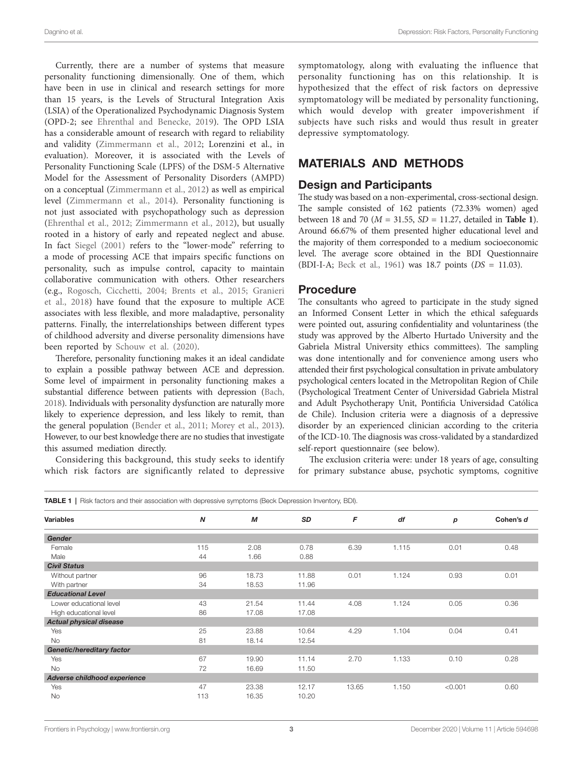Currently, there are a number of systems that measure personality functioning dimensionally. One of them, which have been in use in clinical and research settings for more than 15 years, is the Levels of Structural Integration Axis (LSIA) of the Operationalized Psychodynamic Diagnosis System (OPD-2; see [Ehrenthal and Benecke, 2019](#page-7-21)). The OPD LSIA has a considerable amount of research with regard to reliability and validity [\(Zimmermann et al., 2012](#page-9-18); Lorenzini et al., in evaluation). Moreover, it is associated with the Levels of Personality Functioning Scale (LPFS) of the DSM-5 Alternative Model for the Assessment of Personality Disorders (AMPD) on a conceptual [\(Zimmermann et al., 2012](#page-9-18)) as well as empirical level [\(Zimmermann et al., 2014](#page-9-19)). Personality functioning is not just associated with psychopathology such as depression ([Ehrenthal et al., 2012;](#page-7-22) [Zimmermann et al., 2012\)](#page-9-18), but usually rooted in a history of early and repeated neglect and abuse. In fact [Siegel \(2001\)](#page-9-20) refers to the "lower-mode" referring to a mode of processing ACE that impairs specific functions on personality, such as impulse control, capacity to maintain collaborative communication with others. Other researchers (e.g., [Rogosch, Cicchetti, 2004](#page-9-21); [Brents et al., 2015](#page-7-23); [Granieri](#page-8-29)  [et al., 2018\)](#page-8-29) have found that the exposure to multiple ACE associates with less flexible, and more maladaptive, personality patterns. Finally, the interrelationships between different types of childhood adversity and diverse personality dimensions have been reported by [Schouw et al. \(2020\).](#page-9-22)

Therefore, personality functioning makes it an ideal candidate to explain a possible pathway between ACE and depression. Some level of impairment in personality functioning makes a substantial difference between patients with depression [\(Bach,](#page-7-24)  [2018](#page-7-24)). Individuals with personality dysfunction are naturally more likely to experience depression, and less likely to remit, than the general population [\(Bender et al., 2011](#page-7-19); [Morey et al., 2013](#page-8-30)). However, to our best knowledge there are no studies that investigate this assumed mediation directly.

Considering this background, this study seeks to identify which risk factors are significantly related to depressive

symptomatology, along with evaluating the influence that personality functioning has on this relationship. It is hypothesized that the effect of risk factors on depressive symptomatology will be mediated by personality functioning, which would develop with greater impoverishment if subjects have such risks and would thus result in greater depressive symptomatology.

### MATERIALS AND METHODS

#### Design and Participants

The study was based on a non-experimental, cross-sectional design. The sample consisted of 162 patients (72.33% women) aged between 18 and 70 (*M* = 31.55, *SD* = 11.27, detailed in **[Table 1](#page-2-0)**). Around 66.67% of them presented higher educational level and the majority of them corresponded to a medium socioeconomic level. The average score obtained in the BDI Questionnaire (BDI-I-A; [Beck et al., 1961\)](#page-7-25) was 18.7 points (*DS* = 11.03).

#### Procedure

The consultants who agreed to participate in the study signed an Informed Consent Letter in which the ethical safeguards were pointed out, assuring confidentiality and voluntariness (the study was approved by the Alberto Hurtado University and the Gabriela Mistral University ethics committees). The sampling was done intentionally and for convenience among users who attended their first psychological consultation in private ambulatory psychological centers located in the Metropolitan Region of Chile (Psychological Treatment Center of Universidad Gabriela Mistral and Adult Psychotherapy Unit, Pontificia Universidad Católica de Chile). Inclusion criteria were a diagnosis of a depressive disorder by an experienced clinician according to the criteria of the ICD-10. The diagnosis was cross-validated by a standardized self-report questionnaire (see below).

The exclusion criteria were: under 18 years of age, consulting for primary substance abuse, psychotic symptoms, cognitive

<span id="page-2-0"></span>

| <b>Variables</b>               | $\boldsymbol{N}$ | M     | SD    | F     | df    | p       | Cohen's d |
|--------------------------------|------------------|-------|-------|-------|-------|---------|-----------|
|                                |                  |       |       |       |       |         |           |
| <b>Gender</b>                  |                  |       |       |       |       |         |           |
| Female                         | 115              | 2.08  | 0.78  | 6.39  | 1.115 | 0.01    | 0.48      |
| Male                           | 44               | 1.66  | 0.88  |       |       |         |           |
| <b>Civil Status</b>            |                  |       |       |       |       |         |           |
| Without partner                | 96               | 18.73 | 11.88 | 0.01  | 1.124 | 0.93    | 0.01      |
| With partner                   | 34               | 18.53 | 11.96 |       |       |         |           |
| <b>Educational Level</b>       |                  |       |       |       |       |         |           |
| Lower educational level        | 43               | 21.54 | 11.44 | 4.08  | 1.124 | 0.05    | 0.36      |
| High educational level         | 86               | 17.08 | 17.08 |       |       |         |           |
| <b>Actual physical disease</b> |                  |       |       |       |       |         |           |
| Yes                            | 25               | 23.88 | 10.64 | 4.29  | 1.104 | 0.04    | 0.41      |
| <b>No</b>                      | 81               | 18.14 | 12.54 |       |       |         |           |
| Genetic/hereditary factor      |                  |       |       |       |       |         |           |
| Yes                            | 67               | 19.90 | 11.14 | 2.70  | 1.133 | 0.10    | 0.28      |
| <b>No</b>                      | 72               | 16.69 | 11.50 |       |       |         |           |
| Adverse childhood experience   |                  |       |       |       |       |         |           |
| Yes                            | 47               | 23.38 | 12.17 | 13.65 | 1.150 | < 0.001 | 0.60      |
| No                             | 113              | 16.35 | 10.20 |       |       |         |           |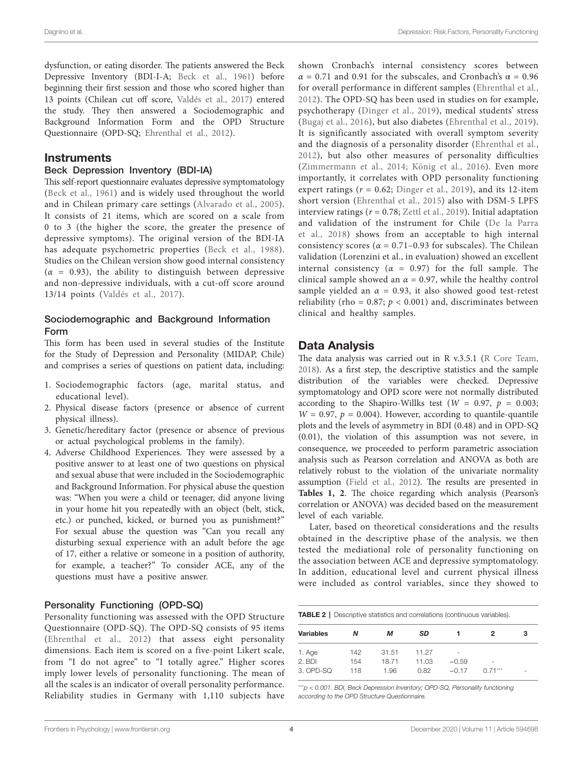dysfunction, or eating disorder. The patients answered the Beck Depressive Inventory (BDI-I-A; [Beck et al., 1961\)](#page-7-25) before beginning their first session and those who scored higher than 13 points (Chilean cut off score, [Valdés et al., 2017\)](#page-9-23) entered the study. They then answered a Sociodemographic and Background Information Form and the OPD Structure Questionnaire (OPD-SQ; [Ehrenthal et al., 2012\)](#page-7-22).

#### **Instruments**

#### Beck Depression Inventory (BDI-IA)

This self-report questionnaire evaluates depressive symptomatology ([Beck et al., 1961\)](#page-7-25) and is widely used throughout the world and in Chilean primary care settings ([Alvarado et al., 2005\)](#page-7-26). It consists of 21 items, which are scored on a scale from 0 to 3 (the higher the score, the greater the presence of depressive symptoms). The original version of the BDI-IA has adequate psychometric properties [\(Beck et al., 1988\)](#page-7-27). Studies on the Chilean version show good internal consistency  $(\alpha = 0.93)$ , the ability to distinguish between depressive and non-depressive individuals, with a cut-off score around 13/14 points ([Valdés et al., 2017\)](#page-9-23).

#### Sociodemographic and Background Information Form

This form has been used in several studies of the Institute for the Study of Depression and Personality (MIDAP, Chile) and comprises a series of questions on patient data, including:

- 1. Sociodemographic factors (age, marital status, and educational level).
- 2. Physical disease factors (presence or absence of current physical illness).
- 3. Genetic/hereditary factor (presence or absence of previous or actual psychological problems in the family).
- 4. Adverse Childhood Experiences. They were assessed by a positive answer to at least one of two questions on physical and sexual abuse that were included in the Sociodemographic and Background Information. For physical abuse the question was: "When you were a child or teenager, did anyone living in your home hit you repeatedly with an object (belt, stick, etc.) or punched, kicked, or burned you as punishment?" For sexual abuse the question was "Can you recall any disturbing sexual experience with an adult before the age of 17, either a relative or someone in a position of authority, for example, a teacher?" To consider ACE, any of the questions must have a positive answer.

#### Personality Functioning (OPD-SQ)

Personality functioning was assessed with the OPD Structure Questionnaire (OPD-SQ). The OPD-SQ consists of 95 items ([Ehrenthal et al., 2012\)](#page-7-22) that assess eight personality dimensions. Each item is scored on a five-point Likert scale, from "I do not agree" to "I totally agree." Higher scores imply lower levels of personality functioning. The mean of all the scales is an indicator of overall personality performance. Reliability studies in Germany with 1,110 subjects have

shown Cronbach's internal consistency scores between  $\alpha$  = 0.71 and 0.91 for the subscales, and Cronbach's  $\alpha$  = 0.96 for overall performance in different samples ([Ehrenthal et al.,](#page-7-22)  [2012\)](#page-7-22). The OPD-SQ has been used in studies on for example, psychotherapy [\(Dinger et al., 2019](#page-7-28)), medical students' stress [\(Bugaj et al., 2016\)](#page-7-29), but also diabetes ([Ehrenthal et al., 2019](#page-7-30)). It is significantly associated with overall symptom severity and the diagnosis of a personality disorder [\(Ehrenthal et al.,](#page-7-22)  [2012\)](#page-7-22), but also other measures of personality difficulties [\(Zimmermann et al., 2014](#page-9-19); [König et al., 2016\)](#page-8-31). Even more importantly, it correlates with OPD personality functioning expert ratings  $(r = 0.62;$  [Dinger et al., 2019\)](#page-7-28), and its 12-item short version [\(Ehrenthal et al., 2015](#page-7-31)) also with DSM-5 LPFS interview ratings ( $r = 0.78$ ; [Zettl et al., 2019](#page-9-24)). Initial adaptation and validation of the instrument for Chile [\(De la Parra](#page-7-32)  [et al., 2018](#page-7-32)) shows from an acceptable to high internal consistency scores ( $\alpha$  = 0.71–0.93 for subscales). The Chilean validation (Lorenzini et al., in evaluation) showed an excellent internal consistency ( $\alpha = 0.97$ ) for the full sample. The clinical sample showed an  $\alpha$  = 0.97, while the healthy control sample yielded an  $\alpha$  = 0.93, it also showed good test-retest reliability (rho =  $0.87$ ;  $p < 0.001$ ) and, discriminates between clinical and healthy samples.

### Data Analysis

The data analysis was carried out in R v.3.5.1 [\(R Core Team,](#page-9-25)  [2018\)](#page-9-25). As a first step, the descriptive statistics and the sample distribution of the variables were checked. Depressive symptomatology and OPD score were not normally distributed according to the Shapiro-Willks test ( $W = 0.97$ ,  $p = 0.003$ ;  $W = 0.97$ ,  $p = 0.004$ ). However, according to quantile-quantile plots and the levels of asymmetry in BDI (0.48) and in OPD-SQ (0.01), the violation of this assumption was not severe, in consequence, we proceeded to perform parametric association analysis such as Pearson correlation and ANOVA as both are relatively robust to the violation of the univariate normality assumption ([Field et al., 2012\)](#page-8-32). The results are presented in **[Tables 1](#page-2-0), [2](#page-3-0)**. The choice regarding which analysis (Pearson's correlation or ANOVA) was decided based on the measurement level of each variable.

Later, based on theoretical considerations and the results obtained in the descriptive phase of the analysis, we then tested the mediational role of personality functioning on the association between ACE and depressive symptomatology. In addition, educational level and current physical illness were included as control variables, since they showed to

<span id="page-3-0"></span>

| <b>TABLE 2</b>   Descriptive statistics and correlations (continuous variables). |     |       |       |         |                          |   |  |  |  |
|----------------------------------------------------------------------------------|-----|-------|-------|---------|--------------------------|---|--|--|--|
| Variables                                                                        | Ν   | м     | SD    |         | 2                        | з |  |  |  |
| 1. Age                                                                           | 142 | 31.51 | 11 27 | ۰       |                          |   |  |  |  |
| $2.$ BDI                                                                         | 154 | 1871  | 11.03 | $-0.59$ | $\overline{\phantom{a}}$ |   |  |  |  |
| $3.$ OPD-SQ                                                                      | 118 | 1.96  | 0.82  | $-0.17$ | $0.71***$                | ۰ |  |  |  |

\*\*\**p < 0.001. BDI, Beck Depression Inventory; OPD-SQ, Personality functioning according to the OPD Structure Questionnaire.*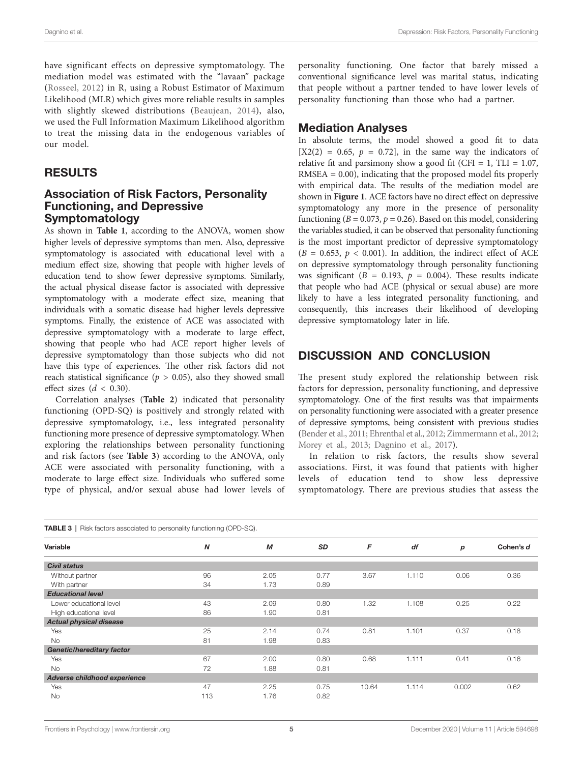have significant effects on depressive symptomatology. The mediation model was estimated with the "lavaan" package ([Rosseel, 2012\)](#page-9-26) in R, using a Robust Estimator of Maximum Likelihood (MLR) which gives more reliable results in samples with slightly skewed distributions ([Beaujean, 2014](#page-7-33)), also, we used the Full Information Maximum Likelihood algorithm to treat the missing data in the endogenous variables of our model.

#### RESULTS

#### Association of Risk Factors, Personality Functioning, and Depressive Symptomatology

As shown in **[Table 1](#page-2-0)**, according to the ANOVA, women show higher levels of depressive symptoms than men. Also, depressive symptomatology is associated with educational level with a medium effect size, showing that people with higher levels of education tend to show fewer depressive symptoms. Similarly, the actual physical disease factor is associated with depressive symptomatology with a moderate effect size, meaning that individuals with a somatic disease had higher levels depressive symptoms. Finally, the existence of ACE was associated with depressive symptomatology with a moderate to large effect, showing that people who had ACE report higher levels of depressive symptomatology than those subjects who did not have this type of experiences. The other risk factors did not reach statistical significance ( $p > 0.05$ ), also they showed small effect sizes (*d* < 0.30).

Correlation analyses (**[Table 2](#page-3-0)**) indicated that personality functioning (OPD-SQ) is positively and strongly related with depressive symptomatology, i.e., less integrated personality functioning more presence of depressive symptomatology. When exploring the relationships between personality functioning and risk factors (see **[Table 3](#page-4-0)**) according to the ANOVA, only ACE were associated with personality functioning, with a moderate to large effect size. Individuals who suffered some type of physical, and/or sexual abuse had lower levels of

personality functioning. One factor that barely missed a conventional significance level was marital status, indicating that people without a partner tended to have lower levels of personality functioning than those who had a partner.

#### Mediation Analyses

In absolute terms, the model showed a good fit to data  $[X2(2) = 0.65, p = 0.72]$ , in the same way the indicators of relative fit and parsimony show a good fit (CFI = 1, TLI =  $1.07$ ,  $RMSEA = 0.00$ , indicating that the proposed model fits properly with empirical data. The results of the mediation model are shown in **[Figure 1](#page-5-0)**. ACE factors have no direct effect on depressive symptomatology any more in the presence of personality functioning ( $B = 0.073$ ,  $p = 0.26$ ). Based on this model, considering the variables studied, it can be observed that personality functioning is the most important predictor of depressive symptomatology  $(B = 0.653, p < 0.001)$ . In addition, the indirect effect of ACE on depressive symptomatology through personality functioning was significant ( $B = 0.193$ ,  $p = 0.004$ ). These results indicate that people who had ACE (physical or sexual abuse) are more likely to have a less integrated personality functioning, and consequently, this increases their likelihood of developing depressive symptomatology later in life.

### DISCUSSION AND CONCLUSION

The present study explored the relationship between risk factors for depression, personality functioning, and depressive symptomatology. One of the first results was that impairments on personality functioning were associated with a greater presence of depressive symptoms, being consistent with previous studies [\(Bender et al., 2011;](#page-7-19) [Ehrenthal et al., 2012;](#page-7-22) [Zimmermann et al., 2012;](#page-9-18) [Morey et al., 2013](#page-8-30); [Dagnino et al., 2017](#page-7-15)).

In relation to risk factors, the results show several associations. First, it was found that patients with higher levels of education tend to show less depressive symptomatology. There are previous studies that assess the

<span id="page-4-0"></span>

| <b>TABLE 3</b>   Risk factors associated to personality functioning (OPD-SQ). |     |      |      |       |       |       |           |  |
|-------------------------------------------------------------------------------|-----|------|------|-------|-------|-------|-----------|--|
| Variable                                                                      | N   | M    | SD   | F     | df    | p     | Cohen's d |  |
| <b>Civil status</b>                                                           |     |      |      |       |       |       |           |  |
| Without partner                                                               | 96  | 2.05 | 0.77 | 3.67  | 1.110 | 0.06  | 0.36      |  |
| With partner                                                                  | 34  | 1.73 | 0.89 |       |       |       |           |  |
| <b>Educational level</b>                                                      |     |      |      |       |       |       |           |  |
| Lower educational level                                                       | 43  | 2.09 | 0.80 | 1.32  | 1.108 | 0.25  | 0.22      |  |
| High educational level                                                        | 86  | 1.90 | 0.81 |       |       |       |           |  |
| <b>Actual physical disease</b>                                                |     |      |      |       |       |       |           |  |
| Yes                                                                           | 25  | 2.14 | 0.74 | 0.81  | 1.101 | 0.37  | 0.18      |  |
| <b>No</b>                                                                     | 81  | 1.98 | 0.83 |       |       |       |           |  |
| <b>Genetic/hereditary factor</b>                                              |     |      |      |       |       |       |           |  |
| Yes                                                                           | 67  | 2.00 | 0.80 | 0.68  | 1.111 | 0.41  | 0.16      |  |
| <b>No</b>                                                                     | 72  | 1.88 | 0.81 |       |       |       |           |  |
| Adverse childhood experience                                                  |     |      |      |       |       |       |           |  |
| Yes                                                                           | 47  | 2.25 | 0.75 | 10.64 | 1.114 | 0.002 | 0.62      |  |
| <b>No</b>                                                                     | 113 | 1.76 | 0.82 |       |       |       |           |  |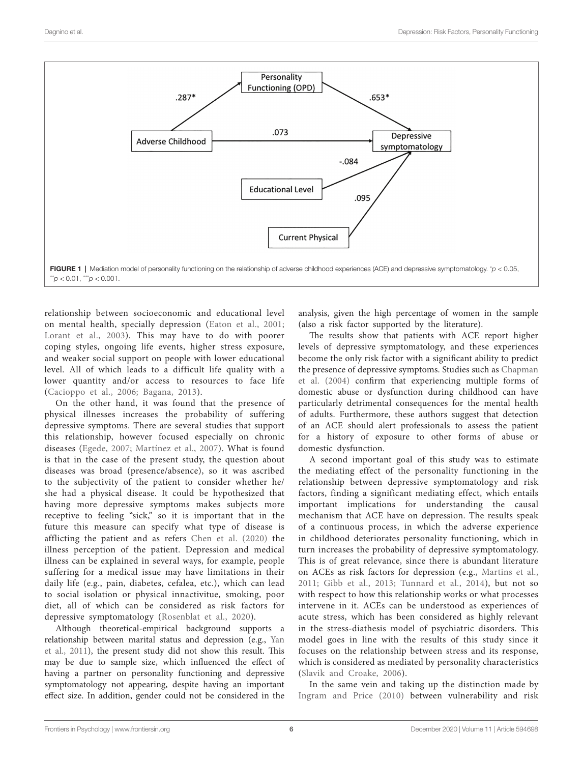<span id="page-5-0"></span>

relationship between socioeconomic and educational level on mental health, specially depression ([Eaton et al., 2001](#page-7-34); Lorant et al., 2003). This may have to do with poorer coping styles, ongoing life events, higher stress exposure, and weaker social support on people with lower educational level. All of which leads to a difficult life quality with a lower quantity and/or access to resources to face life ([Cacioppo et al., 2006](#page-7-5); [Bagana, 2013](#page-7-7)).

On the other hand, it was found that the presence of physical illnesses increases the probability of suffering depressive symptoms. There are several studies that support this relationship, however focused especially on chronic diseases ([Egede, 2007;](#page-7-8) [Martínez et al., 2007\)](#page-8-8). What is found is that in the case of the present study, the question about diseases was broad (presence/absence), so it was ascribed to the subjectivity of the patient to consider whether he/ she had a physical disease. It could be hypothesized that having more depressive symptoms makes subjects more receptive to feeling "sick," so it is important that in the future this measure can specify what type of disease is afflicting the patient and as refers [Chen et al. \(2020\)](#page-7-35) the illness perception of the patient. Depression and medical illness can be explained in several ways, for example, people suffering for a medical issue may have limitations in their daily life (e.g., pain, diabetes, cefalea, etc.), which can lead to social isolation or physical innactivitue, smoking, poor diet, all of which can be considered as risk factors for depressive symptomatology ([Rosenblat et al., 2020\)](#page-9-27).

Although theoretical-empirical background supports a relationship between marital status and depression (e.g., [Yan](#page-9-6)  [et al., 2011\)](#page-9-6), the present study did not show this result. This may be due to sample size, which influenced the effect of having a partner on personality functioning and depressive symptomatology not appearing, despite having an important effect size. In addition, gender could not be considered in the

analysis, given the high percentage of women in the sample (also a risk factor supported by the literature).

The results show that patients with ACE report higher levels of depressive symptomatology, and these experiences become the only risk factor with a significant ability to predict the presence of depressive symptoms. Studies such as [Chapman](#page-7-1)  [et al. \(2004\)](#page-7-1) confirm that experiencing multiple forms of domestic abuse or dysfunction during childhood can have particularly detrimental consequences for the mental health of adults. Furthermore, these authors suggest that detection of an ACE should alert professionals to assess the patient for a history of exposure to other forms of abuse or domestic dysfunction.

A second important goal of this study was to estimate the mediating effect of the personality functioning in the relationship between depressive symptomatology and risk factors, finding a significant mediating effect, which entails important implications for understanding the causal mechanism that ACE have on depression. The results speak of a continuous process, in which the adverse experience in childhood deteriorates personality functioning, which in turn increases the probability of depressive symptomatology. This is of great relevance, since there is abundant literature on ACEs as risk factors for depression (e.g., [Martins et al.,](#page-8-34)  [2011;](#page-8-34) [Gibb et al., 2013](#page-8-35); [Tunnard et al., 2014](#page-9-12)), but not so with respect to how this relationship works or what processes intervene in it. ACEs can be understood as experiences of acute stress, which has been considered as highly relevant in the stress-diathesis model of psychiatric disorders. This model goes in line with the results of this study since it focuses on the relationship between stress and its response, which is considered as mediated by personality characteristics [\(Slavik and Croake, 2006](#page-9-28)).

In the same vein and taking up the distinction made by [Ingram and Price \(2010\)](#page-8-3) between vulnerability and risk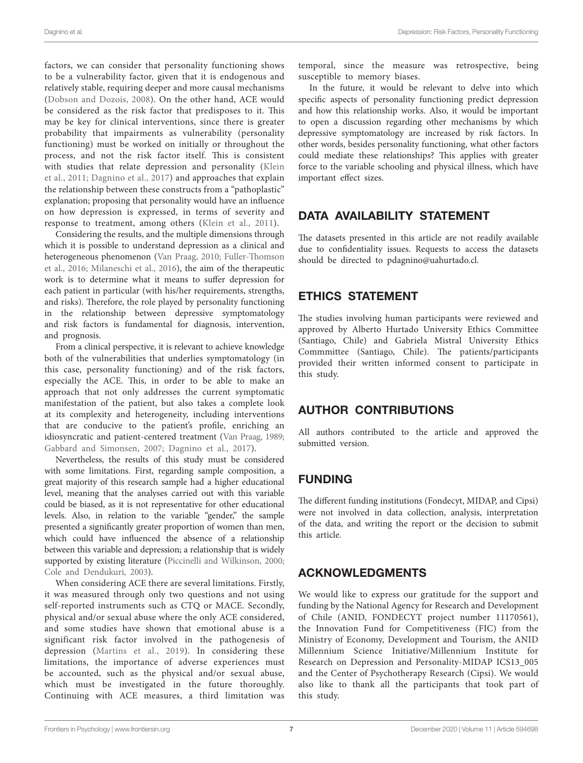factors, we can consider that personality functioning shows to be a vulnerability factor, given that it is endogenous and relatively stable, requiring deeper and more causal mechanisms ([Dobson and Dozois, 2008](#page-7-36)). On the other hand, ACE would be considered as the risk factor that predisposes to it. This may be key for clinical interventions, since there is greater probability that impairments as vulnerability (personality functioning) must be worked on initially or throughout the process, and not the risk factor itself. This is consistent with studies that relate depression and personality [\(Klein](#page-8-21)  [et al., 2011](#page-8-21); [Dagnino et al., 2017](#page-7-15)) and approaches that explain the relationship between these constructs from a "pathoplastic" explanation; proposing that personality would have an influence on how depression is expressed, in terms of severity and response to treatment, among others ([Klein et al., 2011](#page-8-21)).

Considering the results, and the multiple dimensions through which it is possible to understand depression as a clinical and heterogeneous phenomenon ([Van Praag, 2010;](#page-9-3) [Fuller-Thomson](#page-8-36)  [et al., 2016;](#page-8-36) [Milaneschi et al., 2016](#page-8-37)), the aim of the therapeutic work is to determine what it means to suffer depression for each patient in particular (with his/her requirements, strengths, and risks). Therefore, the role played by personality functioning in the relationship between depressive symptomatology and risk factors is fundamental for diagnosis, intervention, and prognosis.

From a clinical perspective, it is relevant to achieve knowledge both of the vulnerabilities that underlies symptomatology (in this case, personality functioning) and of the risk factors, especially the ACE. This, in order to be able to make an approach that not only addresses the current symptomatic manifestation of the patient, but also takes a complete look at its complexity and heterogeneity, including interventions that are conducive to the patient's profile, enriching an idiosyncratic and patient-centered treatment ([Van Praag, 1989](#page-9-29); [Gabbard and Simonsen, 2007;](#page-8-38) [Dagnino et al., 2017](#page-7-15)).

Nevertheless, the results of this study must be considered with some limitations. First, regarding sample composition, a great majority of this research sample had a higher educational level, meaning that the analyses carried out with this variable could be biased, as it is not representative for other educational levels. Also, in relation to the variable "gender," the sample presented a significantly greater proportion of women than men, which could have influenced the absence of a relationship between this variable and depression; a relationship that is widely supported by existing literature [\(Piccinelli and Wilkinson, 2000](#page-8-4); [Cole and Dendukuri, 2003\)](#page-7-2).

When considering ACE there are several limitations. Firstly, it was measured through only two questions and not using self-reported instruments such as CTQ or MACE. Secondly, physical and/or sexual abuse where the only ACE considered, and some studies have shown that emotional abuse is a significant risk factor involved in the pathogenesis of depression [\(Martins et al., 2019](#page-8-15)). In considering these limitations, the importance of adverse experiences must be accounted, such as the physical and/or sexual abuse, which must be investigated in the future thoroughly. Continuing with ACE measures, a third limitation was temporal, since the measure was retrospective, being susceptible to memory biases.

In the future, it would be relevant to delve into which specific aspects of personality functioning predict depression and how this relationship works. Also, it would be important to open a discussion regarding other mechanisms by which depressive symptomatology are increased by risk factors. In other words, besides personality functioning, what other factors could mediate these relationships? This applies with greater force to the variable schooling and physical illness, which have important effect sizes.

## DATA AVAILABILITY STATEMENT

The datasets presented in this article are not readily available due to confidentiality issues. Requests to access the datasets should be directed to [pdagnino@uahurtado.cl](mailto:pdagnino@uahurtado.cl).

### ETHICS STATEMENT

The studies involving human participants were reviewed and approved by Alberto Hurtado University Ethics Committee (Santiago, Chile) and Gabriela Mistral University Ethics Commmittee (Santiago, Chile). The patients/participants provided their written informed consent to participate in this study.

### AUTHOR CONTRIBUTIONS

All authors contributed to the article and approved the submitted version.

# FUNDING

The different funding institutions (Fondecyt, MIDAP, and Cipsi) were not involved in data collection, analysis, interpretation of the data, and writing the report or the decision to submit this article.

### ACKNOWLEDGMENTS

We would like to express our gratitude for the support and funding by the National Agency for Research and Development of Chile (ANID, FONDECYT project number 11170561), the Innovation Fund for Competitiveness (FIC) from the Ministry of Economy, Development and Tourism, the ANID Millennium Science Initiative/Millennium Institute for Research on Depression and Personality-MIDAP ICS13\_005 and the Center of Psychotherapy Research (Cipsi). We would also like to thank all the participants that took part of this study.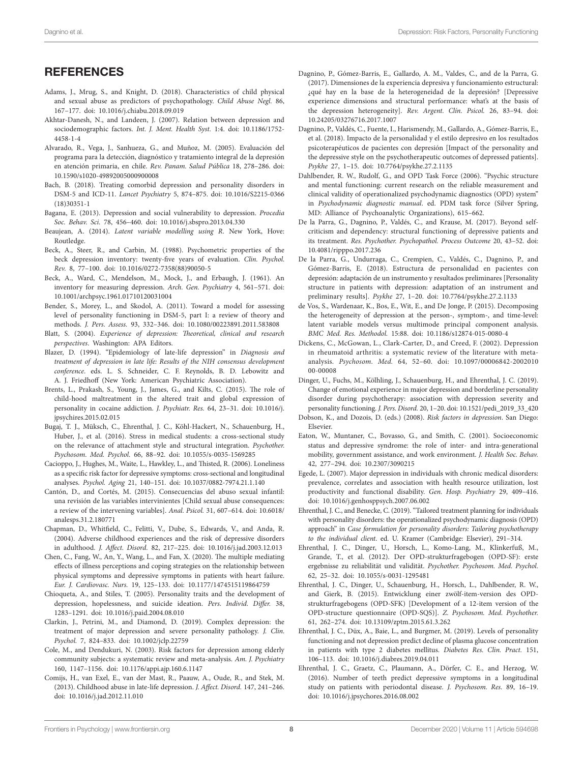### **REFERENCES**

- <span id="page-7-12"></span>Adams, J., Mrug, S., and Knight, D. (2018). Characteristics of child physical and sexual abuse as predictors of psychopathology. *Child Abuse Negl.* 86, 167–177. doi: [10.1016/j.chiabu.2018.09.019](https://doi.org/10.1016/j.chiabu.2018.09.019)
- <span id="page-7-6"></span>Akhtar-Danesh, N., and Landeen, J. (2007). Relation between depression and sociodemographic factors. *Int. J. Ment. Health Syst.* 1:4. doi: [10.1186/1752-](https://doi.org/10.1186/1752-4458-1-4) [4458-1-4](https://doi.org/10.1186/1752-4458-1-4)
- <span id="page-7-26"></span>Alvarado, R., Vega, J., Sanhueza, G., and Muñoz, M. (2005). Evaluación del programa para la detección, diagnóstico y tratamiento integral de la depresión en atención primaria, en chile. *Rev. Panam. Salud Pública* 18, 278–286. doi: [10.1590/s1020-49892005000900008](https://doi.org/10.1590/s1020-49892005000900008)
- <span id="page-7-24"></span>Bach, B. (2018). Treating comorbid depression and personality disorders in DSM-5 and ICD-11. *Lancet Psychiatry* 5, 874–875. doi: [10.1016/S2215-0366](https://doi.org/10.1016/S2215-0366(18)30351-1) [\(18\)30351-1](https://doi.org/10.1016/S2215-0366(18)30351-1)
- <span id="page-7-7"></span>Bagana, E. (2013). Depression and social vulnerability to depression. *Procedia Soc. Behav. Sci.* 78, 456–460. doi: [10.1016/j.sbspro.2013.04.330](https://doi.org/10.1016/j.sbspro.2013.04.330)
- <span id="page-7-33"></span>Beaujean, A. (2014). *Latent variable modelling using R*. New York, Hove: Routledge.
- <span id="page-7-27"></span>Beck, A., Steer, R., and Carbin, M. (1988). Psychometric properties of the beck depression inventory: twenty-five years of evaluation. *Clin. Psychol. Rev.* 8, 77–100. doi: [10.1016/0272-7358\(88\)90050-5](https://doi.org/10.1016/0272-7358(88)90050-5)
- <span id="page-7-25"></span>Beck, A., Ward, C., Mendelson, M., Mock, J., and Erbaugh, J. (1961). An inventory for measuring depression. *Arch. Gen. Psychiatry* 4, 561–571. doi: [10.1001/archpsyc.1961.01710120031004](https://doi.org/10.1001/archpsyc.1961.01710120031004)
- <span id="page-7-19"></span>Bender, S., Morey, L., and Skodol, A. (2011). Toward a model for assessing level of personality functioning in DSM-5, part I: a review of theory and methods. *J. Pers. Assess.* 93, 332–346. doi: [10.1080/00223891.2011.583808](https://doi.org/10.1080/00223891.2011.583808)
- <span id="page-7-4"></span>Blatt, S. (2004). *Experience of depression: Theoretical, clinical and research perspectives*. Washington: APA Editors.
- <span id="page-7-3"></span>Blazer, D. (1994). "Epidemiology of late-life depression" in *Diagnosis and treatment of depression in late life: Results of the NIH consensus development conference*. eds. L. S. Schneider, C. F. Reynolds, B. D. Lebowitz and A. J. Friedhoff (New York: American Psychiatric Association).
- <span id="page-7-23"></span>Brents, L., Prakash, S., Young, J., James, G., and Kilts, C. (2015). The role of child-hood maltreatment in the altered trait and global expression of personality in cocaine addiction. *J. Psychiatr. Res.* 64, 23–31. doi: [10.1016/j.](https://doi.org/10.1016/j.jpsychires.2015.02.015) [jpsychires.2015.02.015](https://doi.org/10.1016/j.jpsychires.2015.02.015)
- <span id="page-7-29"></span>Bugaj, T. J., Müksch, C., Ehrenthal, J. C., Köhl-Hackert, N., Schauenburg, H., Huber, J., et al. (2016). Stress in medical students: a cross-sectional study on the relevance of attachment style and structural integration. *Psychother. Psychosom. Med. Psychol.* 66, 88–92. doi: [10.1055/s-0035-1569285](https://doi.org/10.1055/s-0035-1569285)
- <span id="page-7-5"></span>Cacioppo, J., Hughes, M., Waite, L., Hawkley, L., and Thisted, R. (2006). Loneliness as a specific risk factor for depressive symptoms: cross-sectional and longitudinal analyses. *Psychol. Aging* 21, 140–151. doi: [10.1037/0882-7974.21.1.140](https://doi.org/10.1037/0882-7974.21.1.140)
- <span id="page-7-13"></span>Cantón, D., and Cortés, M. (2015). Consecuencias del abuso sexual infantil: una revisión de las variables intervinientes [Child sexual abuse consequences: a review of the intervening variables]. *Anal. Psicol.* 31, 607–614. doi: [10.6018/](https://doi.org/10.6018/analesps.31.2.180771) [analesps.31.2.180771](https://doi.org/10.6018/analesps.31.2.180771)
- <span id="page-7-1"></span>Chapman, D., Whitfield, C., Felitti, V., Dube, S., Edwards, V., and Anda, R. (2004). Adverse childhood experiences and the risk of depressive disorders in adulthood. *J. Affect. Disord.* 82, 217–225. doi: [10.1016/j.jad.2003.12.013](https://doi.org/10.1016/j.jad.2003.12.013)
- <span id="page-7-35"></span>Chen, C., Fang, W., An, Y., Wang, L., and Fan, X. (2020). The multiple mediating effects of illness perceptions and coping strategies on the relationship between physical symptoms and depressive symptoms in patients with heart failure. *Eur. J. Cardiovasc. Nurs.* 19, 125–133. doi: [10.1177/1474515119864759](https://doi.org/10.1177/1474515119864759)
- <span id="page-7-17"></span>Chioqueta, A., and Stiles, T. (2005). Personality traits and the development of depression, hopelessness, and suicide ideation. *Pers. Individ. Differ.* 38, 1283–1291. doi: [10.1016/j.paid.2004.08.010](https://doi.org/10.1016/j.paid.2004.08.010)
- <span id="page-7-16"></span>Clarkin, J., Petrini, M., and Diamond, D. (2019). Complex depression: the treatment of major depression and severe personality pathology. *J. Clin. Psychol.* 7, 824–833. doi: [10.1002/jclp.22759](https://doi.org/10.1002/jclp.22759)
- <span id="page-7-2"></span>Cole, M., and Dendukuri, N. (2003). Risk factors for depression among elderly community subjects: a systematic review and meta-analysis. *Am. J. Psychiatry* 160, 1147–1156. doi: [10.1176/appi.ajp.160.6.1147](https://doi.org/10.1176/appi.ajp.160.6.1147)
- <span id="page-7-11"></span>Comijs, H., van Exel, E., van der Mast, R., Paauw, A., Oude, R., and Stek, M. (2013). Childhood abuse in late-life depression. *J. Affect. Disord.* 147, 241–246. doi: [10.1016/j.jad.2012.11.010](https://doi.org/10.1016/j.jad.2012.11.010)
- <span id="page-7-15"></span>Dagnino, P., Gómez-Barris, E., Gallardo, A. M., Valdes, C., and de la Parra, G. (2017). Dimensiones de la experiencia depresiva y funcionamiento estructural: ¿qué hay en la base de la heterogeneidad de la depresión? [Depressive experience dimensions and structural performance: what's at the basis of the depression heterogeneity]. *Rev. Argent. Clín. Psicol.* 26, 83–94. doi: [10.24205/03276716.2017.1007](https://doi.org/10.24205/03276716.2017.1007)
- <span id="page-7-18"></span>Dagnino, P., Valdés, C., Fuente, I., Harismendy, M., Gallardo, A., Gómez-Barris, E., et al. (2018). Impacto de la personalidad y el estilo depresivo en los resultados psicoterapéuticos de pacientes con depresión [Impact of the personality and the depressive style on the psychotherapeutic outcomes of depressed patients]. *Psykhe* 27, 1–15. doi: [10.7764/psykhe.27.2.1135](https://doi.org/10.7764/psykhe.27.2.1135)
- <span id="page-7-20"></span>Dahlbender, R. W., Rudolf, G., and OPD Task Force (2006). "Psychic structure and mental functioning: current research on the reliable measurement and clinical validity of operationalized psychodynamic diagnostics (OPD) system" in *Psychodynamic diagnostic manual*. ed. PDM task force (Silver Spring, MD: Alliance of Psychoanalytic Organizations), 615–662.
- <span id="page-7-0"></span>De la Parra, G., Dagnino, P., Valdés, C., and Krause, M. (2017). Beyond selfcriticism and dependency: structural functioning of depressive patients and its treatment. *Res. Psychother. Psychopathol. Process Outcome* 20, 43–52. doi: [10.4081/ripppo.2017.236](https://doi.org/10.4081/ripppo.2017.236)
- <span id="page-7-32"></span>De la Parra, G., Undurraga, C., Crempien, C., Valdés, C., Dagnino, P., and Gómez-Barris, E. (2018). Estructura de personalidad en pacientes con depresión: adaptación de un instrumento y resultados preliminares [Personality structure in patients with depression: adaptation of an instrument and preliminary results]. *Psykhe* 27, 1–20. doi: [10.7764/psykhe.27.2.1133](https://doi.org/10.7764/psykhe.27.2.1133)
- <span id="page-7-14"></span>de Vos, S., Wardenaar, K., Bos, E., Wit, E., and De Jonge, P. (2015). Decomposing the heterogeneity of depression at the person-, symptom-, and time-level: latent variable models versus multimode principal component analysis. *BMC Med. Res. Methodol.* 15:88. doi: [10.1186/s12874-015-0080-4](https://doi.org/10.1186/s12874-015-0080-4)
- <span id="page-7-10"></span>Dickens, C., McGowan, L., Clark-Carter, D., and Creed, F. (2002). Depression in rheumatoid arthritis: a systematic review of the literature with metaanalysis. *Psychosom. Med.* 64, 52–60. doi: [10.1097/00006842-2002010](https://doi.org/10.1097/00006842-200201000-00008) [00-00008](https://doi.org/10.1097/00006842-200201000-00008)
- <span id="page-7-28"></span>Dinger, U., Fuchs, M., Kölhling, J., Schauenburg, H., and Ehrenthal, J. C. (2019). Change of emotional experience in major depression and borderline personality disorder during psychotherapy: association with depression severity and personality functioning. *J. Pers. Disord.* 20, 1–20. doi: [10.1521/pedi\\_2019\\_33\\_420](https://doi.org/10.1521/pedi_2019_33_420)
- <span id="page-7-36"></span>Dobson, K., and Dozois, D. (eds.) (2008). *Risk factors in depression*. San Diego: Elsevier.
- <span id="page-7-34"></span>Eaton, W., Muntaner, C., Bovasso, G., and Smith, C. (2001). Socioeconomic status and depressive syndrome: the role of inter‐ and intra-generational mobility, government assistance, and work environment. *J. Health Soc. Behav.* 42, 277–294. doi: [10.2307/3090215](https://doi.org/10.2307/3090215)
- <span id="page-7-8"></span>Egede, L. (2007). Major depression in individuals with chronic medical disorders: prevalence, correlates and association with health resource utilization, lost productivity and functional disability. *Gen. Hosp. Psychiatry* 29, 409–416. doi: [10.1016/j.genhosppsych.2007.06.002](https://doi.org/10.1016/j.genhosppsych.2007.06.002)
- <span id="page-7-21"></span>Ehrenthal, J. C., and Benecke, C. (2019). "Tailored treatment planning for individuals with personality disorders: the operationalized psychodynamic diagnosis (OPD) approach" in *Case formulation for personality disorders: Tailoring psychotherapy to the individual client*. ed. U. Kramer (Cambridge: Elsevier), 291–314.
- <span id="page-7-22"></span>Ehrenthal, J. C., Dinger, U., Horsch, L., Komo-Lang, M., Klinkerfuß, M., Grande, T., et al. (2012). Der OPD-strukturfragebogen (OPD-SF): erste ergebnisse zu reliabilität und validität. *Psychother. Psychosom. Med. Psychol.* 62, 25–32. doi: [10.1055/s-0031-1295481](https://doi.org/10.1055/s-0031-1295481)
- <span id="page-7-31"></span>Ehrenthal, J. C., Dinger, U., Schauenburg, H., Horsch, L., Dahlbender, R. W., and Gierk, B. (2015). Entwicklung einer zwölf-item-version des OPDstrukturfragebogens (OPD-SFK) [Development of a 12-item version of the OPD-structure questionnaire (OPD-SQS)]. *Z. Psychosom. Med. Psychother.* 61, 262–274. doi: [10.13109/zptm.2015.61.3.262](https://doi.org/10.13109/zptm.2015.61.3.262)
- <span id="page-7-30"></span>Ehrenthal, J. C., Düx, A., Baie, L., and Burgmer, M. (2019). Levels of personality functioning and not depression predict decline of plasma glucose concentration in patients with type 2 diabetes mellitus. *Diabetes Res. Clin. Pract.* 151, 106–113. doi: [10.1016/j.diabres.2019.04.011](https://doi.org/10.1016/j.diabres.2019.04.011)
- <span id="page-7-9"></span>Ehrenthal, J. C., Graetz, C., Plaumann, A., Dörfer, C. E., and Herzog, W. (2016). Number of teeth predict depressive symptoms in a longitudinal study on patients with periodontal disease. *J. Psychosom. Res.* 89, 16–19. doi: [10.1016/j.jpsychores.2016.08.002](https://doi.org/10.1016/j.jpsychores.2016.08.002)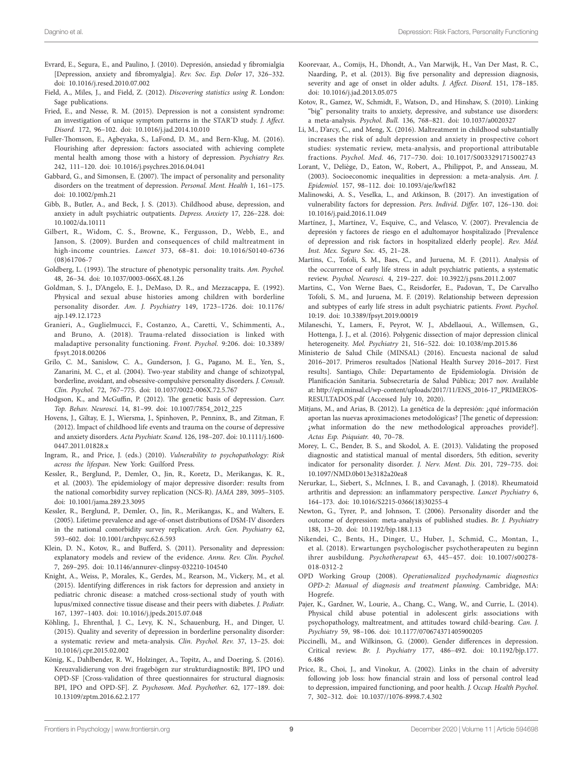- <span id="page-8-10"></span>Evrard, E., Segura, E., and Paulino, J. (2010). Depresión, ansiedad y fibromialgia [Depression, anxiety and fibromyalgia]. *Rev. Soc. Esp. Dolor* 17, 326–332. doi: [10.1016/j.resed.2010.07.002](https://doi.org/10.1016/j.resed.2010.07.002)
- <span id="page-8-32"></span>Field, A., Miles, J., and Field, Z. (2012). *Discovering statistics using R*. London: Sage publications.
- <span id="page-8-2"></span>Fried, E., and Nesse, R. M. (2015). Depression is not a consistent syndrome: an investigation of unique symptom patterns in the STAR\* D study. *J. Affect. Disord.* 172, 96–102. doi: [10.1016/j.jad.2014.10.010](https://doi.org/10.1016/j.jad.2014.10.010)
- <span id="page-8-36"></span>Fuller-Thomson, E., Agbeyaka, S., LaFond, D. M., and Bern-Klug, M. (2016). Flourishing after depression: factors associated with achieving complete mental health among those with a history of depression. *Psychiatry Res.* 242, 111–120. doi: [10.1016/j.psychres.2016.04.041](https://doi.org/10.1016/j.psychres.2016.04.041)
- <span id="page-8-38"></span>Gabbard, G., and Simonsen, E. (2007). The impact of personality and personality disorders on the treatment of depression. *Personal. Ment. Health* 1, 161–175. doi: [10.1002/pmh.21](https://doi.org/10.1002/pmh.21)
- <span id="page-8-35"></span>Gibb, B., Butler, A., and Beck, J. S. (2013). Childhood abuse, depression, and anxiety in adult psychiatric outpatients. *Depress. Anxiety* 17, 226–228. doi: [10.1002/da.10111](https://doi.org/10.1002/da.10111)
- <span id="page-8-16"></span>Gilbert, R., Widom, C. S., Browne, K., Fergusson, D., Webb, E., and Janson, S. (2009). Burden and consequences of child maltreatment in high-income countries. *Lancet* 373, 68–81. doi: [10.1016/S0140-6736](https://doi.org/10.1016/S0140-6736(08)61706-7) [\(08\)61706-7](https://doi.org/10.1016/S0140-6736(08)61706-7)
- <span id="page-8-24"></span>Goldberg, L. (1993). The structure of phenotypic personality traits. *Am. Psychol.* 48, 26–34. doi: [10.1037/0003-066X.48.1.26](https://doi.org/10.1037/0003-066X.48.1.26)
- <span id="page-8-20"></span>Goldman, S. J., D'Angelo, E. J., DeMaso, D. R., and Mezzacappa, E. (1992). Physical and sexual abuse histories among children with borderline personality disorder. *Am. J. Psychiatry* 149, 1723–1726. doi: [10.1176/](https://doi.org/10.1176/ajp.149.12.1723) [ajp.149.12.1723](https://doi.org/10.1176/ajp.149.12.1723)
- <span id="page-8-29"></span>Granieri, A., Guglielmucci, F., Costanzo, A., Caretti, V., Schimmenti, A., and Bruno, A. (2018). Trauma-related dissociation is linked with maladaptive personality functioning. *Front. Psychol.* 9:206. doi: [10.3389/](https://doi.org/10.3389/fpsyt.2018.00206) [fpsyt.2018.00206](https://doi.org/10.3389/fpsyt.2018.00206)
- <span id="page-8-22"></span>Grilo, C. M., Sanislow, C. A., Gunderson, J. G., Pagano, M. E., Yen, S., Zanarini, M. C., et al. (2004). Two-year stability and change of schizotypal, borderline, avoidant, and obsessive-compulsive personality disorders. *J. Consult. Clin. Psychol.* 72, 767–775. doi: [10.1037/0022-006X.72.5.767](https://doi.org/10.1037/0022-006X.72.5.767)
- <span id="page-8-13"></span>Hodgson, K., and McGuffin, P. (2012). The genetic basis of depression. *Curr. Top. Behav. Neurosci.* 14, 81–99. doi: [10.1007/7854\\_2012\\_225](https://doi.org/10.1007/7854_2012_225)
- <span id="page-8-19"></span>Hovens, J., Giltay, E. J., Wiersma, J., Spinhoven, P., Penninx, B., and Zitman, F. (2012). Impact of childhood life events and trauma on the course of depressive and anxiety disorders. *Acta Psychiatr. Scand.* 126, 198–207. doi: [10.1111/j.1600-](https://doi.org/10.1111/j.1600-0447.2011.01828.x) [0447.2011.01828.x](https://doi.org/10.1111/j.1600-0447.2011.01828.x)
- <span id="page-8-3"></span>Ingram, R., and Price, J. (eds.) (2010). *Vulnerability to psychopathology: Risk across the lifespan*. New York: Guilford Press.
- <span id="page-8-6"></span>Kessler, R., Berglund, P., Demler, O., Jin, R., Koretz, D., Merikangas, K. R., et al. (2003). The epidemiology of major depressive disorder: results from the national comorbidity survey replication (NCS-R). *JAMA* 289, 3095–3105. doi: [10.1001/jama.289.23.3095](https://doi.org/10.1001/jama.289.23.3095)
- <span id="page-8-5"></span>Kessler, R., Berglund, P., Demler, O., Jin, R., Merikangas, K., and Walters, E. (2005). Lifetime prevalence and age-of-onset distributions of DSM-IV disorders in the national comorbidity survey replication. *Arch. Gen. Psychiatry* 62, 593–602. doi: [10.1001/archpsyc.62.6.593](https://doi.org/10.1001/archpsyc.62.6.593)
- <span id="page-8-21"></span>Klein, D. N., Kotov, R., and Bufferd, S. (2011). Personality and depression: explanatory models and review of the evidence. *Annu. Rev. Clin. Psychol.* 7, 269–295. doi: [10.1146/annurev-clinpsy-032210-104540](https://doi.org/10.1146/annurev-clinpsy-032210-104540)
- <span id="page-8-9"></span>Knight, A., Weiss, P., Morales, K., Gerdes, M., Rearson, M., Vickery, M., et al. (2015). Identifying differences in risk factors for depression and anxiety in pediatric chronic disease: a matched cross-sectional study of youth with lupus/mixed connective tissue disease and their peers with diabetes. *J. Pediatr.* 167, 1397–1403. doi: [10.1016/j.jpeds.2015.07.048](https://doi.org/10.1016/j.jpeds.2015.07.048)
- <span id="page-8-28"></span>Köhling, J., Ehrenthal, J. C., Levy, K. N., Schauenburg, H., and Dinger, U. (2015). Quality and severity of depression in borderline personality disorder: a systematic review and meta-analysis. *Clin. Psychol. Rev.* 37, 13–25. doi: [10.1016/j.cpr.2015.02.002](https://doi.org/10.1016/j.cpr.2015.02.002)
- <span id="page-8-31"></span>König, K., Dahlbender, R. W., Holzinger, A., Topitz, A., and Doering, S. (2016). Kreuzvalidierung von drei fragebögen zur strukturdiagnostik: BPI, IPO und OPD-SF [Cross-validation of three questionnaires for structural diagnosis: BPI, IPO and OPD-SF]. *Z. Psychosom. Med. Psychother.* 62, 177–189. doi: [10.13109/zptm.2016.62.2.177](https://doi.org/10.13109/zptm.2016.62.2.177)
- <span id="page-8-26"></span>Koorevaar, A., Comijs, H., Dhondt, A., Van Marwijk, H., Van Der Mast, R. C., Naarding, P., et al. (2013). Big five personality and depression diagnosis, severity and age of onset in older adults. *J. Affect. Disord.* 151, 178–185. doi: [10.1016/j.jad.2013.05.075](https://doi.org/10.1016/j.jad.2013.05.075)
- <span id="page-8-25"></span>Kotov, R., Gamez, W., Schmidt, F., Watson, D., and Hinshaw, S. (2010). Linking "big" personality traits to anxiety, depressive, and substance use disorders: a meta-analysis. *Psychol. Bull.* 136, 768–821. doi: [10.1037/a0020327](https://doi.org/10.1037/a0020327)
- <span id="page-8-17"></span>Li, M., D'arcy, C., and Meng, X. (2016). Maltreatment in childhood substantially increases the risk of adult depression and anxiety in prospective cohort studies: systematic review, meta-analysis, and proportional attributable fractions. *Psychol. Med.* 46, 717–730. doi: [10.1017/S0033291715002743](https://doi.org/10.1017/S0033291715002743)
- <span id="page-8-33"></span>Lorant, V., Deliège, D., Eaton, W., Robert, A., Philippot, P., and Ansseau, M. (2003). Socioeconomic inequalities in depression: a meta-analysis. *Am. J. Epidemiol.* 157, 98–112. doi: [10.1093/aje/kwf182](https://doi.org/10.1093/aje/kwf182)
- <span id="page-8-0"></span>Malinowski, A. S., Veselka, L., and Atkinson, B. (2017). An investigation of vulnerability factors for depression. *Pers. Individ. Differ.* 107, 126–130. doi: [10.1016/j.paid.2016.11.049](https://doi.org/10.1016/j.paid.2016.11.049)
- <span id="page-8-8"></span>Martínez, J., Martínez, V., Esquive, C., and Velasco, V. (2007). Prevalencia de depresión y factores de riesgo en el adultomayor hospitalizado [Prevalence of depression and risk factors in hospitalized elderly people]. *Rev. Méd. Inst. Mex. Seguro Soc.* 45, 21–28.
- <span id="page-8-34"></span>Martins, C., Tofoli, S. M., Baes, C., and Juruena, M. F. (2011). Analysis of the occurrence of early life stress in adult psychiatric patients, a systematic review. *Psychol. Neurosci.* 4, 219–227. doi: [10.3922/j.psns.2011.2.007](https://doi.org/10.3922/j.psns.2011.2.007)
- <span id="page-8-15"></span>Martins, C., Von Werne Baes, C., Reisdorfer, E., Padovan, T., De Carvalho Tofoli, S. M., and Juruena, M. F. (2019). Relationship between depression and subtypes of early life stress in adult psychiatric patients. *Front. Psychol.* 10:19. doi: [10.3389/fpsyt.2019.00019](https://doi.org/10.3389/fpsyt.2019.00019)
- <span id="page-8-37"></span>Milaneschi, Y., Lamers, F., Peyrot, W. J., Abdellaoui, A., Willemsen, G., Hottenga, J. J., et al. (2016). Polygenic dissection of major depression clinical heterogeneity. *Mol. Psychiatry* 21, 516–522. doi: [10.1038/mp.2015.86](https://doi.org/10.1038/mp.2015.86)
- <span id="page-8-1"></span>Ministerio de Salud Chile (MINSAL) (2016). Encuesta nacional de salud 2016–2017. Primeros resultados [National Health Survey 2016–2017. First results]. Santiago, Chile: Departamento de Epidemiología. División de Planificación Sanitaria. Subsecretaría de Salud Pública; 2017 nov. Available at: [http://epi.minsal.cl/wp-content/uploads/2017/11/ENS\\_2016-17\\_PRIMEROS-](http://epi.minsal.cl/wp-content/uploads/2017/11/ENS_2016-17_PRIMEROS-RESULTADOS.pdf)[RESULTADOS.pdf](http://epi.minsal.cl/wp-content/uploads/2017/11/ENS_2016-17_PRIMEROS-RESULTADOS.pdf) (Accessed July 10, 2020).
- <span id="page-8-14"></span>Mitjans, M., and Arias, B. (2012). La genética de la depresión: ¿qué información aportan las nuevas aproximaciones metodológicas? [The genetic of depression: ¿what information do the new methodological approaches provide?]. *Actas Esp. Psiquiatr.* 40, 70–78.
- <span id="page-8-30"></span>Morey, L. C., Bender, B. S., and Skodol, A. E. (2013). Validating the proposed diagnostic and statistical manual of mental disorders, 5th edition, severity indicator for personality disorder. *J. Nerv. Ment. Dis.* 201, 729–735. doi: [10.1097/NMD.0b013e3182a20ea8](https://doi.org/10.1097/NMD.0b013e3182a20ea8)
- <span id="page-8-11"></span>Nerurkar, L., Siebert, S., McInnes, I. B., and Cavanagh, J. (2018). Rheumatoid arthritis and depression: an inflammatory perspective. *Lancet Psychiatry* 6, 164–173. doi: [10.1016/S2215-0366\(18\)30255-4](https://doi.org/10.1016/S2215-0366(18)30255-4)
- <span id="page-8-23"></span>Newton, G., Tyrer, P., and Johnson, T. (2006). Personality disorder and the outcome of depression: meta-analysis of published studies. *Br. J. Psychiatry* 188, 13–20. doi: [10.1192/bjp.188.1.13](https://doi.org/10.1192/bjp.188.1.13)
- <span id="page-8-12"></span>Nikendei, C., Bents, H., Dinger, U., Huber, J., Schmid, C., Montan, I., et al. (2018). Erwartungen psychologischer psychotherapeuten zu beginn ihrer ausbildung. *Psychotherapeut* 63, 445–457. doi: [10.1007/s00278-](https://doi.org/10.1007/s00278-018-0312-2) [018-0312-2](https://doi.org/10.1007/s00278-018-0312-2)
- <span id="page-8-27"></span>OPD Working Group (2008). *Operationalized psychodynamic diagnostics OPD-2: Manual of diagnosis and treatment planning*. Cambridge, MA: Hogrefe.
- <span id="page-8-18"></span>Pajer, K., Gardner, W., Lourie, A., Chang, C., Wang, W., and Currie, L. (2014). Physical child abuse potential in adolescent girls: associations with psychopathology, maltreatment, and attitudes toward child-bearing. *Can. J. Psychiatry* 59, 98–106. doi: [10.1177/070674371405900205](https://doi.org/10.1177/070674371405900205)
- <span id="page-8-4"></span>Piccinelli, M., and Wilkinson, G. (2000). Gender differences in depression. Critical review. *Br. J. Psychiatry* 177, 486–492. doi: [10.1192/bjp.177.](https://doi.org/10.1192/bjp.177.6.486) [6.486](https://doi.org/10.1192/bjp.177.6.486)
- <span id="page-8-7"></span>Price, R., Choi, J., and Vinokur, A. (2002). Links in the chain of adversity following job loss: how financial strain and loss of personal control lead to depression, impaired functioning, and poor health. *J. Occup. Health Psychol.* 7, 302–312. doi: [10.1037//1076-8998.7.4.302](https://doi.org/10.1037//1076-8998.7.4.302)